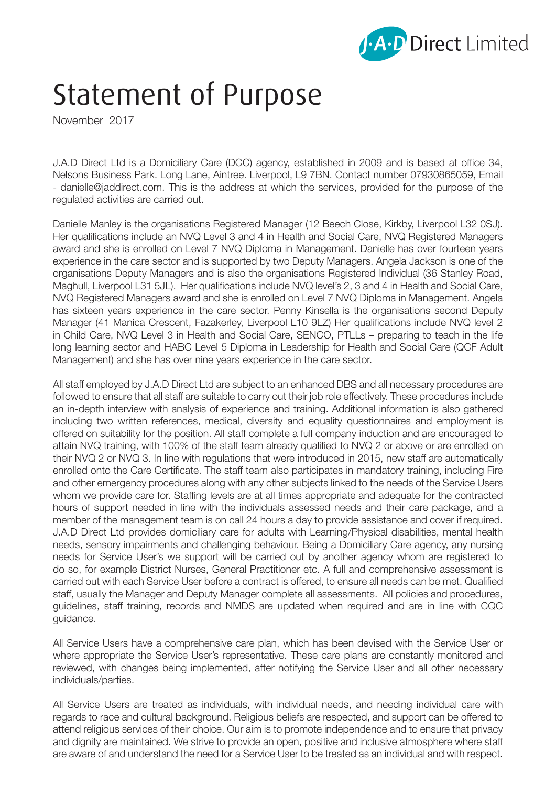

## Statement of Purpose

November 2017

J.A.D Direct Ltd is a Domiciliary Care (DCC) agency, established in 2009 and is based at office 34, Nelsons Business Park. Long Lane, Aintree. Liverpool, L9 7BN. Contact number 07930865059, Email - danielle@jaddirect.com. This is the address at which the services, provided for the purpose of the regulated activities are carried out.

Danielle Manley is the organisations Registered Manager (12 Beech Close, Kirkby, Liverpool L32 0SJ). Her qualifications include an NVQ Level 3 and 4 in Health and Social Care, NVQ Registered Managers award and she is enrolled on Level 7 NVQ Diploma in Management. Danielle has over fourteen years experience in the care sector and is supported by two Deputy Managers. Angela Jackson is one of the organisations Deputy Managers and is also the organisations Registered Individual (36 Stanley Road, Maghull, Liverpool L31 5JL). Her qualifications include NVQ level's 2, 3 and 4 in Health and Social Care, NVQ Registered Managers award and she is enrolled on Level 7 NVQ Diploma in Management. Angela has sixteen years experience in the care sector. Penny Kinsella is the organisations second Deputy Manager (41 Manica Crescent, Fazakerley, Liverpool L10 9LZ) Her qualifications include NVQ level 2 in Child Care, NVQ Level 3 in Health and Social Care, SENCO, PTLLs – preparing to teach in the life long learning sector and HABC Level 5 Diploma in Leadership for Health and Social Care (QCF Adult Management) and she has over nine years experience in the care sector.

All staff employed by J.A.D Direct Ltd are subject to an enhanced DBS and all necessary procedures are followed to ensure that all staff are suitable to carry out their job role effectively. These procedures include an in-depth interview with analysis of experience and training. Additional information is also gathered including two written references, medical, diversity and equality questionnaires and employment is offered on suitability for the position. All staff complete a full company induction and are encouraged to attain NVQ training, with 100% of the staff team already qualified to NVQ 2 or above or are enrolled on their NVQ 2 or NVQ 3. In line with regulations that were introduced in 2015, new staff are automatically enrolled onto the Care Certificate. The staff team also participates in mandatory training, including Fire and other emergency procedures along with any other subjects linked to the needs of the Service Users whom we provide care for. Staffing levels are at all times appropriate and adequate for the contracted hours of support needed in line with the individuals assessed needs and their care package, and a member of the management team is on call 24 hours a day to provide assistance and cover if required. J.A.D Direct Ltd provides domiciliary care for adults with Learning/Physical disabilities, mental health needs, sensory impairments and challenging behaviour. Being a Domiciliary Care agency, any nursing needs for Service User's we support will be carried out by another agency whom are registered to do so, for example District Nurses, General Practitioner etc. A full and comprehensive assessment is carried out with each Service User before a contract is offered, to ensure all needs can be met. Qualified staff, usually the Manager and Deputy Manager complete all assessments. All policies and procedures, guidelines, staff training, records and NMDS are updated when required and are in line with CQC guidance.

All Service Users have a comprehensive care plan, which has been devised with the Service User or where appropriate the Service User's representative. These care plans are constantly monitored and reviewed, with changes being implemented, after notifying the Service User and all other necessary individuals/parties.

All Service Users are treated as individuals, with individual needs, and needing individual care with regards to race and cultural background. Religious beliefs are respected, and support can be offered to attend religious services of their choice. Our aim is to promote independence and to ensure that privacy and dignity are maintained. We strive to provide an open, positive and inclusive atmosphere where staff are aware of and understand the need for a Service User to be treated as an individual and with respect.